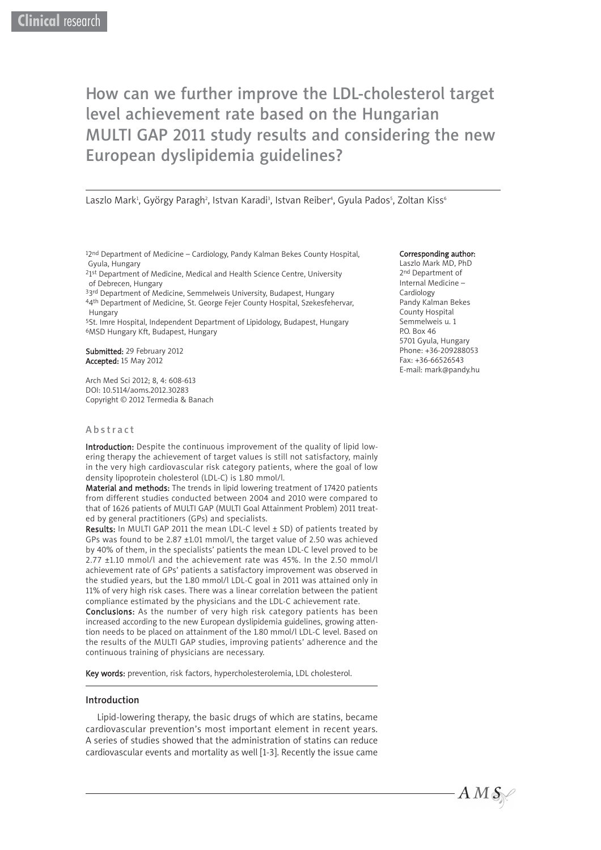# How can we further improve the LDL-cholesterol target level achievement rate based on the Hungarian MULTI GAP 2011 study results and considering the new European dyslipidemia guidelines?

Laszlo Mark<sup>1</sup>, György Paragh<sup>2</sup>, Istvan Karadi<sup>3</sup>, Istvan Reiber<sup>4</sup>, Gyula Pados<sup>s</sup>, Zoltan Kiss<sup>6</sup>

12<sup>nd</sup> Department of Medicine – Cardiology, Pandy Kalman Bekes County Hospital, Gyula, Hungary

<sup>2</sup>1st Department of Medicine, Medical and Health Science Centre, University of Debrecen, Hungary

33rd Department of Medicine, Semmelweis University, Budapest, Hungary 44th Department of Medicine, St. George Fejer County Hospital, Szekesfehervar, Hungary

5St. Imre Hospital, Independent Department of Lipidology, Budapest, Hungary 6MSD Hungary Kft, Budapest, Hungary

Submitted: 29 February 2012 Accepted: 15 May 2012

Arch Med Sci 2012; 8, 4: 608-613 DOI: 10.5114/aoms.2012.30283 Copyright © 2012 Termedia & Banach

#### Abstract

Introduction: Despite the continuous improvement of the quality of lipid lowering therapy the achievement of target values is still not satisfactory, mainly in the very high cardiovascular risk category patients, where the goal of low density lipoprotein cholesterol (LDL-C) is 1.80 mmol/l.

Material and methods: The trends in lipid lowering treatment of 17420 patients from different studies conducted between 2004 and 2010 were compared to that of 1626 patients of MULTI GAP (MULTI Goal Attainment Problem) 2011 treated by general practitioners (GPs) and specialists.

Results: In MULTI GAP 2011 the mean LDL-C level ± SD) of patients treated by GPs was found to be 2.87 ±1.01 mmol/l, the target value of 2.50 was achieved by 40% of them, in the specialists' patients the mean LDL-C level proved to be 2.77 ±1.10 mmol/l and the achievement rate was 45%. In the 2.50 mmol/l achievement rate of GPs' patients a satisfactory improvement was observed in the studied years, but the 1.80 mmol/l LDL-C goal in 2011 was attained only in 11% of very high risk cases. There was a linear correlation between the patient compliance estimated by the physicians and the LDL-C achievement rate.

Conclusions: As the number of very high risk category patients has been increased according to the new European dyslipidemia guidelines, growing attention needs to be placed on attainment of the 1.80 mmol/l LDL-C level. Based on the results of the MULTI GAP studies, improving patients' adherence and the continuous training of physicians are necessary.

Key words: prevention, risk factors, hypercholesterolemia, LDL cholesterol.

#### Introduction

Lipid-lowering therapy, the basic drugs of which are statins, became cardiovascular prevention's most important element in recent years. A series of studies showed that the administration of statins can reduce cardiovascular events and mortality as well [1-3]. Recently the issue came

#### Corresponding author:

Laszlo Mark MD, PhD 2nd Department of Internal Medicine – Cardiology Pandy Kalman Bekes County Hospital Semmelweis u. 1 P.O. Box 46 5701 Gyula, Hungary Phone: +36-209288053 Fax: +36-66526543 E-mail: mark@pandy.hu

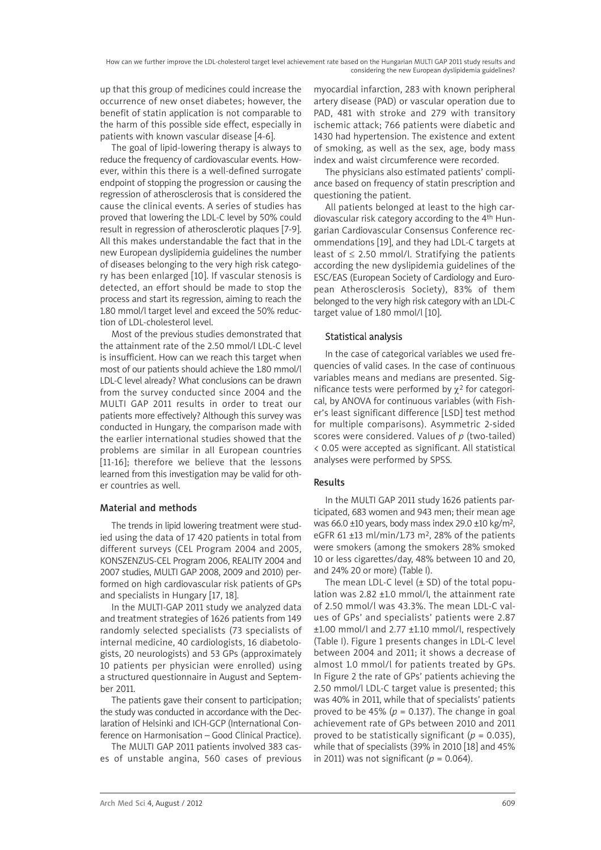up that this group of medicines could increase the occurrence of new onset diabetes; however, the benefit of statin application is not comparable to the harm of this possible side effect, especially in patients with known vascular disease [4-6].

The goal of lipid-lowering therapy is always to reduce the frequency of cardiovascular events. However, within this there is a well-defined surrogate endpoint of stopping the progression or causing the regression of atherosclerosis that is considered the cause the clinical events. A series of studies has proved that lowering the LDL-C level by 50% could result in regression of atherosclerotic plaques [7-9]. All this makes understandable the fact that in the new European dyslipidemia guidelines the number of diseases belonging to the very high risk category has been enlarged [10]. If vascular stenosis is detected, an effort should be made to stop the process and start its regression, aiming to reach the 1.80 mmol/l target level and exceed the 50% reduction of LDL-cholesterol level.

Most of the previous studies demonstrated that the attainment rate of the 2.50 mmol/l LDL-C level is insufficient. How can we reach this target when most of our patients should achieve the 1.80 mmol/l LDL-C level already? What conclusions can be drawn from the survey conducted since 2004 and the MULTI GAP 2011 results in order to treat our patients more effectively? Although this survey was conducted in Hungary, the comparison made with the earlier international studies showed that the problems are similar in all European countries [11-16]; therefore we believe that the lessons learned from this investigation may be valid for other countries as well.

### Material and methods

The trends in lipid lowering treatment were studied using the data of 17 420 patients in total from different surveys (CEL Program 2004 and 2005, KONSZENZUS-CEL Program 2006, REALITY 2004 and 2007 studies, MULTI GAP 2008, 2009 and 2010) performed on high cardiovascular risk patients of GPs and specialists in Hungary [17, 18].

In the MULTI-GAP 2011 study we analyzed data and treatment strategies of 1626 patients from 149 randomly selected specialists (73 specialists of internal medicine, 40 cardiologists, 16 diabetologists, 20 neurologists) and 53 GPs (approximately 10 patients per physician were enrolled) using a structured questionnaire in August and September 2011.

The patients gave their consent to participation; the study was conducted in accordance with the Declaration of Helsinki and ICH-GCP (International Conference on Harmonisation – Good Clinical Practice).

The MULTI GAP 2011 patients involved 383 cases of unstable angina, 560 cases of previous myocardial infarction, 283 with known peripheral artery disease (PAD) or vascular operation due to PAD, 481 with stroke and 279 with transitory ischemic attack; 766 patients were diabetic and 1430 had hypertension. The existence and extent of smoking, as well as the sex, age, body mass index and waist circumference were recorded.

The physicians also estimated patients' compliance based on frequency of statin prescription and questioning the patient.

All patients belonged at least to the high cardiovascular risk category according to the 4th Hungarian Cardiovascular Consensus Conference recommendations [19], and they had LDL-C targets at least of  $\leq$  2.50 mmol/l. Stratifying the patients according the new dyslipidemia guidelines of the ESC/EAS (European Society of Cardiology and European Atherosclerosis Society), 83% of them belonged to the very high risk category with an LDL-C target value of 1.80 mmol/l [10].

# Statistical analysis

In the case of categorical variables we used frequencies of valid cases. In the case of continuous variables means and medians are presented. Significance tests were performed by  $\chi^2$  for categorical, by ANOVA for continuous variables (with Fisher's least significant difference [LSD] test method for multiple comparisons). Asymmetric 2-sided scores were considered. Values of *p* (two-tailed) < 0.05 were accepted as significant. All statistical analyses were performed by SPSS.

# Results

In the MULTI GAP 2011 study 1626 patients participated, 683 women and 943 men; their mean age was 66.0 ±10 years, body mass index 29.0 ±10 kg/m2, eGFR 61  $\pm$ 13 ml/min/1.73 m<sup>2</sup>, 28% of the patients were smokers (among the smokers 28% smoked 10 or less cigarettes/day, 48% between 10 and 20, and 24% 20 or more) (Table I).

The mean LDL-C level  $(\pm$  SD) of the total population was 2.82 ±1.0 mmol/l, the attainment rate of 2.50 mmol/l was 43.3%. The mean LDL-C values of GPs' and specialists' patients were 2.87 ±1.00 mmol/l and 2.77 ±1.10 mmol/l, respectively (Table I). Figure 1 presents changes in LDL-C level between 2004 and 2011; it shows a decrease of almost 1.0 mmol/l for patients treated by GPs. In Figure 2 the rate of GPs' patients achieving the 2.50 mmol/l LDL-C target value is presented; this was 40% in 2011, while that of specialists' patients proved to be 45% ( $p = 0.137$ ). The change in goal achievement rate of GPs between 2010 and 2011 proved to be statistically significant ( $p = 0.035$ ), while that of specialists (39% in 2010 [18] and 45% in 2011) was not significant ( $p = 0.064$ ).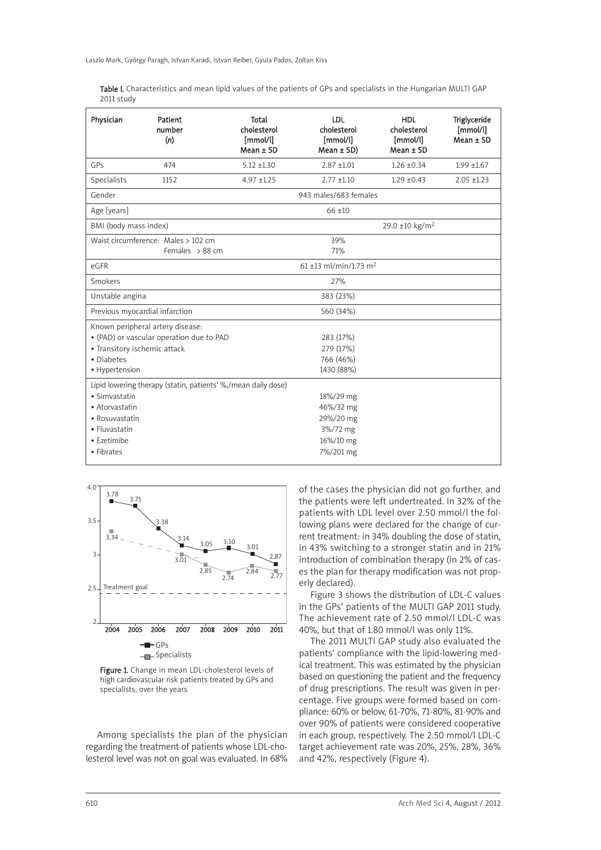Laszlo Mark, György Paragh, Istvan Karadi, Istvan Reiber, Gyula Pados, Zoltan Kiss

Table I. Characteristics and mean lipid values of the patients of GPs and specialists in the Hungarian MULTI GAP 2011 study

| Physician                                                                                                                                    | Patient<br>number<br>(n)                                      | Total<br>cholesterol<br>[mmol/l]<br>$Mean \pm SD$ | LDL<br>cholesterol<br>[mmol/l]<br>$Mean \pm SD$                           | <b>HDL</b><br>cholesterol<br>[mmol/l]<br>$Mean \pm SD$ | Triglyceride<br>[mmol/l]<br>$Mean \pm SD$ |  |  |
|----------------------------------------------------------------------------------------------------------------------------------------------|---------------------------------------------------------------|---------------------------------------------------|---------------------------------------------------------------------------|--------------------------------------------------------|-------------------------------------------|--|--|
| GPs                                                                                                                                          | 474                                                           | $5.12 + 1.30$                                     | $2.87 + 1.01$                                                             | $1.26 \pm 0.34$                                        | $1.99 + 1.67$                             |  |  |
| Specialists                                                                                                                                  | 1152                                                          | $4.97 + 1.25$                                     | $2.77 \pm 1.10$                                                           | $1.29 \pm 0.43$                                        | $2.05 + 1.23$                             |  |  |
| Gender                                                                                                                                       |                                                               | 943 males/683 females                             |                                                                           |                                                        |                                           |  |  |
| Age [years]                                                                                                                                  |                                                               |                                                   | $66 + 10$                                                                 |                                                        |                                           |  |  |
| BMI (body mass index)                                                                                                                        |                                                               |                                                   |                                                                           | 29.0 ±10 kg/m <sup>2</sup>                             |                                           |  |  |
|                                                                                                                                              | Waist circumference: Males > 102 cm<br>Females $> 88$ cm      |                                                   | 39%<br>71%                                                                |                                                        |                                           |  |  |
| $61 + 13$ ml/min/1.73 m <sup>2</sup><br>eGFR                                                                                                 |                                                               |                                                   |                                                                           |                                                        |                                           |  |  |
| Smokers                                                                                                                                      |                                                               |                                                   | 27%                                                                       |                                                        |                                           |  |  |
| Unstable angina                                                                                                                              |                                                               |                                                   | 383 (23%)                                                                 |                                                        |                                           |  |  |
| Previous myocardial infarction                                                                                                               |                                                               |                                                   | 560 (34%)                                                                 |                                                        |                                           |  |  |
| Known peripheral artery disease:<br>• (PAD) or vascular operation due to PAD<br>• Transitory ischemic attack<br>· Diabetes<br>• Hypertension |                                                               |                                                   | 283 (17%)<br>279 (17%)<br>766 (46%)<br>1430 (88%)                         |                                                        |                                           |  |  |
| · Simvastatin<br>• Atorvastatin<br>• Rosuvastatin<br>• Fluvastatin<br>• Ezetimibe<br>• Fibrates                                              | Lipid lowering therapy (statin, patients' %,/mean daily dose) |                                                   | 18%/29 mg<br>46%/32 mg<br>29%/20 mg<br>3%/72 mg<br>16%/10 mg<br>7%/201 mg |                                                        |                                           |  |  |



Figure 1. Change in mean LDL-cholesterol levels of high cardiovascular risk patients treated by GPs and specialists, over the years

Among specialists the plan of the physician regarding the treatment of patients whose LDL-cholesterol level was not on goal was evaluated. In 68% of the cases the physician did not go further, and the patients were left undertreated. In 32% of the patients with LDL level over 2.50 mmol/l the following plans were declared for the change of current treatment: in 34% doubling the dose of statin, in 43% switching to a stronger statin and in 21% introduction of combination therapy (in 2% of cases the plan for therapy modification was not properly declared).

Figure 3 shows the distribution of LDL-C values in the GPs' patients of the MULTI GAP 2011 study. The achievement rate of 2.50 mmol/l LDL-C was 40%, but that of 1.80 mmol/l was only 11%.

The 2011 MULTI GAP study also evaluated the patients' compliance with the lipid-lowering medical treatment. This was estimated by the physician based on questioning the patient and the frequency of drug prescriptions. The result was given in percentage. Five groups were formed based on compliance: 60% or below, 61-70%, 71-80%, 81-90% and over 90% of patients were considered cooperative in each group, respectively. The 2.50 mmol/l LDL-C target achievement rate was 20%, 25%, 28%, 36% and 42%, respectively (Figure 4).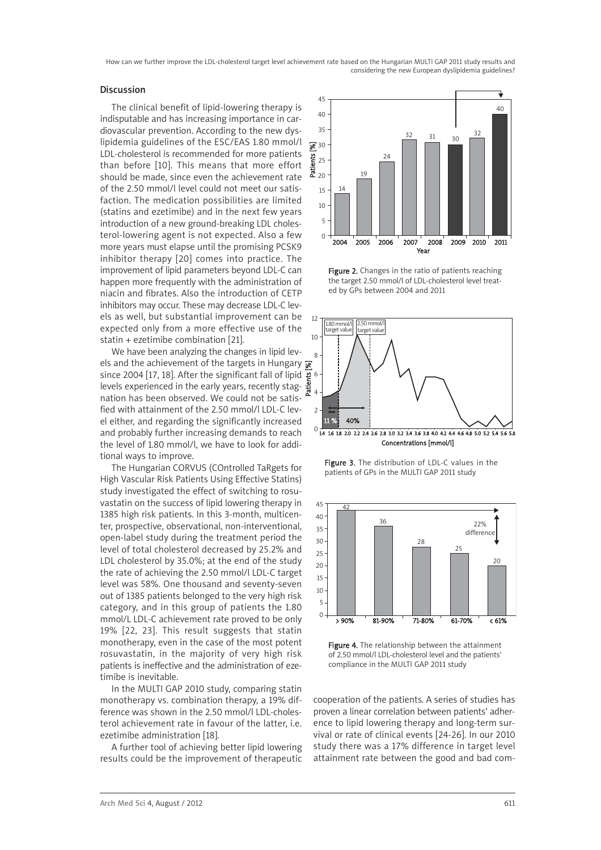How can we further improve the LDL-cholesterol target level achievement rate based on the Hungarian MULTI GAP 2011 study results and considering the new European dyslipidemia guidelines?

### Discussion

The clinical benefit of lipid-lowering therapy is indisputable and has increasing importance in cardiovascular prevention. According to the new dyslipidemia guidelines of the ESC/EAS 1.80 mmol/l LDL-cholesterol is recommended for more patients than before [10]. This means that more effort should be made, since even the achievement rate of the 2.50 mmol/l level could not meet our satisfaction. The medication possibilities are limited (statins and ezetimibe) and in the next few years introduction of a new ground-breaking LDL cholesterol-lowering agent is not expected. Also a few more years must elapse until the promising PCSK9 inhibitor therapy [20] comes into practice. The improvement of lipid parameters beyond LDL-C can happen more frequently with the administration of niacin and fibrates. Also the introduction of CETP inhibitors may occur. These may decrease LDL-C levels as well, but substantial improvement can be expected only from a more effective use of the statin + ezetimibe combination [21].

We have been analyzing the changes in lipid leyels and the achievement of the targets in Hungary  $\sqrt{\frac{1}{N}}$ since 2004 [17, 18]. After the significant fall of lipid 6 levels experienced in the early years, recently stag- $\frac{4}{\pi}$ nation has been observed. We could not be satisfied with attainment of the 2.50 mmol/l LDL-C level either, and regarding the significantly increased and probably further increasing demands to reach the level of 1.80 mmol/l, we have to look for additional ways to improve.

The Hungarian CORVUS (COntrolled TaRgets for High Vascular Risk Patients Using Effective Statins) study investigated the effect of switching to rosuvastatin on the success of lipid lowering therapy in 1385 high risk patients. In this 3-month, multicenter, prospective, observational, non-interventional, open-label study during the treatment period the level of total cholesterol decreased by 25.2% and LDL cholesterol by 35.0%; at the end of the study the rate of achieving the 2.50 mmol/l LDL-C target level was 58%. One thousand and seventy-seven out of 1385 patients belonged to the very high risk category, and in this group of patients the 1.80 mmol/L LDL-C achievement rate proved to be only 19% [22, 23]. This result suggests that statin monotherapy, even in the case of the most potent rosuvastatin, in the majority of very high risk patients is ineffective and the administration of ezetimibe is inevitable.

In the MULTI GAP 2010 study, comparing statin monotherapy vs. combination therapy, a 19% difference was shown in the 2.50 mmol/l LDL-cholesterol achievement rate in favour of the latter, i.e. ezetimibe administration [18].

A further tool of achieving better lipid lowering results could be the improvement of therapeutic



Figure 2. Changes in the ratio of patients reaching the target 2.50 mmol/l of LDL-cholesterol level treated by GPs between 2004 and 2011



Figure 3. The distribution of LDL-C values in the patients of GPs in the MULTI GAP 2011 study



Figure 4. The relationship between the attainment of 2.50 mmol/l LDL-cholesterol level and the patients' compliance in the MULTI GAP 2011 study

cooperation of the patients. A series of studies has proven a linear correlation between patients' adherence to lipid lowering therapy and long-term survival or rate of clinical events [24-26]. In our 2010 study there was a 17% difference in target level attainment rate between the good and bad com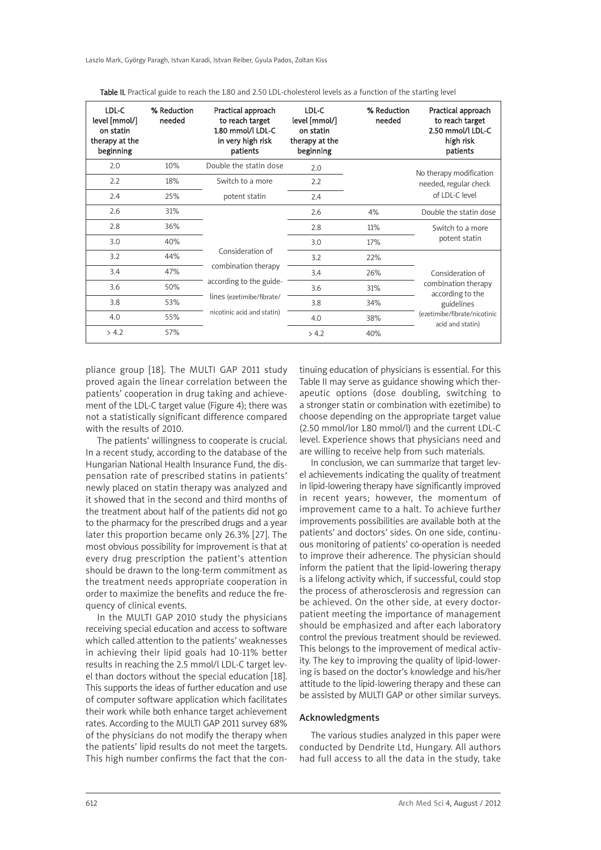Laszlo Mark, György Paragh, Istvan Karadi, Istvan Reiber, Gyula Pados, Zoltan Kiss

| LDL-C<br>level [mmol/]<br>on statin<br>therapy at the<br>beginning | % Reduction<br>needed | Practical approach<br>to reach target<br>1.80 mmol/l LDL-C<br>in very high risk<br>patients                                   | LDL-C<br>level [mmol/]<br>on statin<br>therapy at the<br>beginning | % Reduction<br>needed | Practical approach<br>to reach target<br>2.50 mmol/l LDL-C<br>high risk<br>patients                                                                                |
|--------------------------------------------------------------------|-----------------------|-------------------------------------------------------------------------------------------------------------------------------|--------------------------------------------------------------------|-----------------------|--------------------------------------------------------------------------------------------------------------------------------------------------------------------|
| 2.0                                                                | 10%                   | Double the statin dose<br>Switch to a more<br>potent statin                                                                   | 2.0                                                                |                       | No therapy modification                                                                                                                                            |
| 2.2                                                                | 18%                   |                                                                                                                               | 2.2                                                                |                       | needed, regular check<br>of LDL-C level                                                                                                                            |
| 2.4                                                                | 25%                   |                                                                                                                               | 2.4                                                                |                       |                                                                                                                                                                    |
| 2.6                                                                | 31%                   | Consideration of<br>combination therapy<br>according to the guide-<br>lines (ezetimibe/fibrate/<br>nicotinic acid and statin) | 2.6                                                                | 4%                    | Double the statin dose                                                                                                                                             |
| 2.8                                                                | 36%                   |                                                                                                                               | 2.8                                                                | 11%                   | Switch to a more<br>potent statin<br>Consideration of<br>combination therapy<br>according to the<br>guidelines<br>(ezetimibe/fibrate/nicotinic<br>acid and statin) |
| 3.0                                                                | 40%                   |                                                                                                                               | 3.0                                                                | 17%                   |                                                                                                                                                                    |
| 3.2                                                                | 44%                   |                                                                                                                               | 3.2                                                                | 22%                   |                                                                                                                                                                    |
| 3.4                                                                | 47%                   |                                                                                                                               | 3.4                                                                | 26%                   |                                                                                                                                                                    |
| 3.6                                                                | 50%                   |                                                                                                                               | 3.6                                                                | 31%                   |                                                                                                                                                                    |
| 3.8                                                                | 53%                   |                                                                                                                               | 3.8                                                                | 34%                   |                                                                                                                                                                    |
| 4.0                                                                | 55%                   |                                                                                                                               | 4.0                                                                | 38%                   |                                                                                                                                                                    |
| > 4.2                                                              | 57%                   |                                                                                                                               | > 4.2                                                              | 40%                   |                                                                                                                                                                    |

Table II. Practical guide to reach the 1.80 and 2.50 LDL-cholesterol levels as a function of the starting level

pliance group [18]. The MULTI GAP 2011 study proved again the linear correlation between the patients' cooperation in drug taking and achievement of the LDL-C target value (Figure 4); there was not a statistically significant difference compared with the results of 2010.

The patients' willingness to cooperate is crucial. In a recent study, according to the database of the Hungarian National Health Insurance Fund, the dispensation rate of prescribed statins in patients' newly placed on statin therapy was analyzed and it showed that in the second and third months of the treatment about half of the patients did not go to the pharmacy for the prescribed drugs and a year later this proportion became only 26.3% [27]. The most obvious possibility for improvement is that at every drug prescription the patient's attention should be drawn to the long-term commitment as the treatment needs appropriate cooperation in order to maximize the benefits and reduce the frequency of clinical events.

In the MULTI GAP 2010 study the physicians receiving special education and access to software which called attention to the patients' weaknesses in achieving their lipid goals had 10-11% better results in reaching the 2.5 mmol/l LDL-C target level than doctors without the special education [18]. This supports the ideas of further education and use of computer software application which facilitates their work while both enhance target achievement rates. According to the MULTI GAP 2011 survey 68% of the physicians do not modify the therapy when the patients' lipid results do not meet the targets. This high number confirms the fact that the continuing education of physicians is essential. For this Table II may serve as guidance showing which therapeutic options (dose doubling, switching to a stronger statin or combination with ezetimibe) to choose depending on the appropriate target value (2.50 mmol/lor 1.80 mmol/l) and the current LDL-C level. Experience shows that physicians need and are willing to receive help from such materials.

In conclusion, we can summarize that target level achievements indicating the quality of treatment in lipid-lowering therapy have significantly improved in recent years; however, the momentum of improvement came to a halt. To achieve further improvements possibilities are available both at the patients' and doctors' sides. On one side, continuous monitoring of patients' co-operation is needed to improve their adherence. The physician should inform the patient that the lipid-lowering therapy is a lifelong activity which, if successful, could stop the process of atherosclerosis and regression can be achieved. On the other side, at every doctorpatient meeting the importance of management should be emphasized and after each laboratory control the previous treatment should be reviewed. This belongs to the improvement of medical activity. The key to improving the quality of lipid-lowering is based on the doctor's knowledge and his/her attitude to the lipid-lowering therapy and these can be assisted by MULTI GAP or other similar surveys.

### Acknowledgments

The various studies analyzed in this paper were conducted by Dendrite Ltd, Hungary. All authors had full access to all the data in the study, take